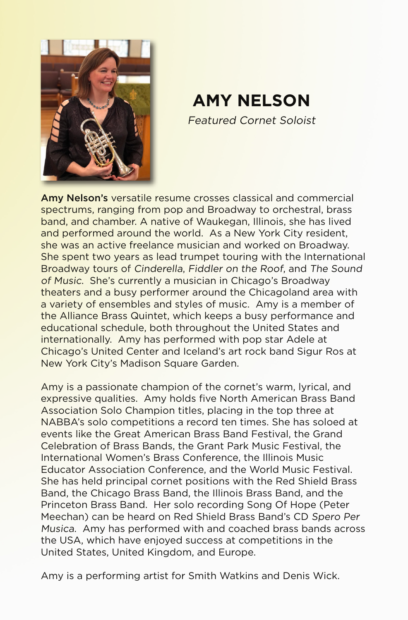

## **AMY NELSON**

Featured Cornet Soloist

Amy Nelson's versatile resume crosses classical and commercial spectrums, ranging from pop and Broadway to orchestral, brass band, and chamber. A native of Waukegan, Illinois, she has lived and performed around the world. As a New York City resident, she was an active freelance musician and worked on Broadway. She spent two years as lead trumpet touring with the International Broadway tours of Cinderella, Fiddler on the Roof, and The Sound of Music. She's currently a musician in Chicago's Broadway theaters and a busy performer around the Chicagoland area with a variety of ensembles and styles of music. Amy is a member of the Alliance Brass Quintet, which keeps a busy performance and educational schedule, both throughout the United States and internationally. Amy has performed with pop star Adele at Chicago's United Center and Iceland's art rock band Sigur Ros at New York City's Madison Square Garden.

Amy is a passionate champion of the cornet's warm, lyrical, and expressive qualities. Amy holds five North American Brass Band Association Solo Champion titles, placing in the top three at NABBA's solo competitions a record ten times. She has soloed at events like the Great American Brass Band Festival, the Grand Celebration of Brass Bands, the Grant Park Music Festival, the International Women's Brass Conference, the Illinois Music Educator Association Conference, and the World Music Festival. She has held principal cornet positions with the Red Shield Brass Band, the Chicago Brass Band, the Illinois Brass Band, and the Princeton Brass Band. Her solo recording Song Of Hope (Peter Meechan) can be heard on Red Shield Brass Band's CD Spero Per Musica. Amy has performed with and coached brass bands across the USA, which have enjoyed success at competitions in the United States, United Kingdom, and Europe.

Amy is a performing artist for Smith Watkins and Denis Wick.